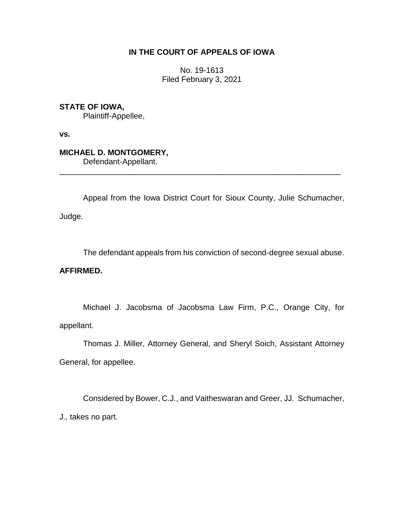# **IN THE COURT OF APPEALS OF IOWA**

No. 19-1613 Filed February 3, 2021

**STATE OF IOWA,**

Plaintiff-Appellee,

**vs.**

**MICHAEL D. MONTGOMERY,**

Defendant-Appellant.

Appeal from the Iowa District Court for Sioux County, Julie Schumacher,

\_\_\_\_\_\_\_\_\_\_\_\_\_\_\_\_\_\_\_\_\_\_\_\_\_\_\_\_\_\_\_\_\_\_\_\_\_\_\_\_\_\_\_\_\_\_\_\_\_\_\_\_\_\_\_\_\_\_\_\_\_\_\_\_

Judge.

The defendant appeals from his conviction of second-degree sexual abuse.

### **AFFIRMED.**

Michael J. Jacobsma of Jacobsma Law Firm, P.C., Orange City, for appellant.

Thomas J. Miller, Attorney General, and Sheryl Soich, Assistant Attorney General, for appellee.

Considered by Bower, C.J., and Vaitheswaran and Greer, JJ. Schumacher, J., takes no part.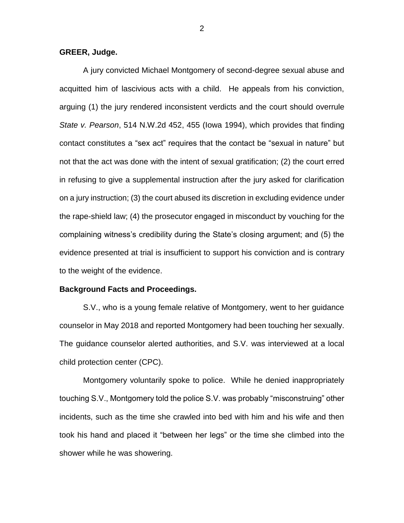#### **GREER, Judge.**

A jury convicted Michael Montgomery of second-degree sexual abuse and acquitted him of lascivious acts with a child. He appeals from his conviction, arguing (1) the jury rendered inconsistent verdicts and the court should overrule *State v. Pearson*, 514 N.W.2d 452, 455 (Iowa 1994), which provides that finding contact constitutes a "sex act" requires that the contact be "sexual in nature" but not that the act was done with the intent of sexual gratification; (2) the court erred in refusing to give a supplemental instruction after the jury asked for clarification on a jury instruction; (3) the court abused its discretion in excluding evidence under the rape-shield law; (4) the prosecutor engaged in misconduct by vouching for the complaining witness's credibility during the State's closing argument; and (5) the evidence presented at trial is insufficient to support his conviction and is contrary to the weight of the evidence.

#### **Background Facts and Proceedings.**

S.V., who is a young female relative of Montgomery, went to her guidance counselor in May 2018 and reported Montgomery had been touching her sexually. The guidance counselor alerted authorities, and S.V. was interviewed at a local child protection center (CPC).

Montgomery voluntarily spoke to police. While he denied inappropriately touching S.V., Montgomery told the police S.V. was probably "misconstruing" other incidents, such as the time she crawled into bed with him and his wife and then took his hand and placed it "between her legs" or the time she climbed into the shower while he was showering.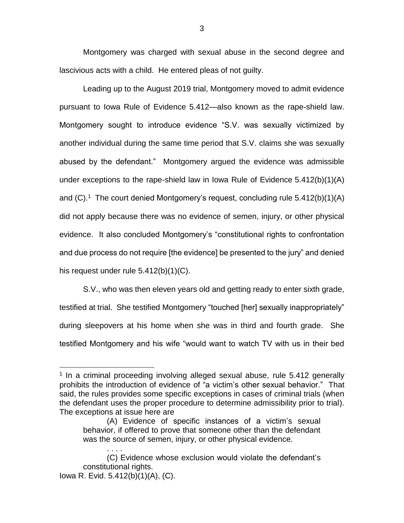Montgomery was charged with sexual abuse in the second degree and lascivious acts with a child. He entered pleas of not guilty.

Leading up to the August 2019 trial, Montgomery moved to admit evidence pursuant to Iowa Rule of Evidence 5.412—also known as the rape-shield law. Montgomery sought to introduce evidence "S.V. was sexually victimized by another individual during the same time period that S.V. claims she was sexually abused by the defendant." Montgomery argued the evidence was admissible under exceptions to the rape-shield law in Iowa Rule of Evidence 5.412(b)(1)(A) and  $(C)$ .<sup>1</sup> The court denied Montgomery's request, concluding rule 5.412(b)(1)(A) did not apply because there was no evidence of semen, injury, or other physical evidence. It also concluded Montgomery's "constitutional rights to confrontation and due process do not require [the evidence] be presented to the jury" and denied his request under rule 5.412(b)(1)(C).

S.V., who was then eleven years old and getting ready to enter sixth grade, testified at trial. She testified Montgomery "touched [her] sexually inappropriately" during sleepovers at his home when she was in third and fourth grade. She testified Montgomery and his wife "would want to watch TV with us in their bed

<sup>&</sup>lt;sup>1</sup> In a criminal proceeding involving alleged sexual abuse, rule 5.412 generally prohibits the introduction of evidence of "a victim's other sexual behavior." That said, the rules provides some specific exceptions in cases of criminal trials (when the defendant uses the proper procedure to determine admissibility prior to trial). The exceptions at issue here are

<sup>(</sup>A) Evidence of specific instances of a victim's sexual behavior, if offered to prove that someone other than the defendant was the source of semen, injury, or other physical evidence.

<sup>. . . .</sup> (C) Evidence whose exclusion would violate the defendant's constitutional rights. Iowa R. Evid. 5.412(b)(1)(A), (C).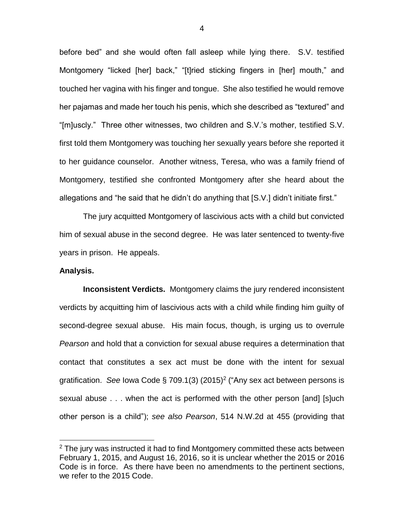before bed" and she would often fall asleep while lying there. S.V. testified Montgomery "licked [her] back," "[t]ried sticking fingers in [her] mouth," and touched her vagina with his finger and tongue. She also testified he would remove her pajamas and made her touch his penis, which she described as "textured" and "[m]uscly." Three other witnesses, two children and S.V.'s mother, testified S.V. first told them Montgomery was touching her sexually years before she reported it to her guidance counselor. Another witness, Teresa, who was a family friend of Montgomery, testified she confronted Montgomery after she heard about the allegations and "he said that he didn't do anything that [S.V.] didn't initiate first."

The jury acquitted Montgomery of lascivious acts with a child but convicted him of sexual abuse in the second degree. He was later sentenced to twenty-five years in prison. He appeals.

#### **Analysis.**

 $\overline{a}$ 

**Inconsistent Verdicts.** Montgomery claims the jury rendered inconsistent verdicts by acquitting him of lascivious acts with a child while finding him guilty of second-degree sexual abuse. His main focus, though, is urging us to overrule *Pearson* and hold that a conviction for sexual abuse requires a determination that contact that constitutes a sex act must be done with the intent for sexual gratification. See lowa Code § 709.1(3) (2015)<sup>2</sup> ("Any sex act between persons is sexual abuse . . . when the act is performed with the other person [and] [s]uch other person is a child"); *see also Pearson*, 514 N.W.2d at 455 (providing that

 $2$  The jury was instructed it had to find Montgomery committed these acts between February 1, 2015, and August 16, 2016, so it is unclear whether the 2015 or 2016 Code is in force. As there have been no amendments to the pertinent sections, we refer to the 2015 Code.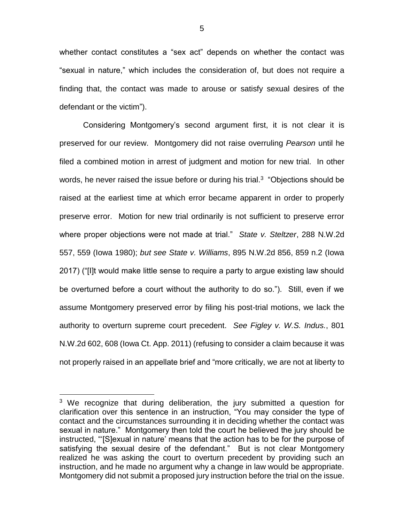whether contact constitutes a "sex act" depends on whether the contact was "sexual in nature," which includes the consideration of, but does not require a finding that, the contact was made to arouse or satisfy sexual desires of the defendant or the victim").

Considering Montgomery's second argument first, it is not clear it is preserved for our review. Montgomery did not raise overruling *Pearson* until he filed a combined motion in arrest of judgment and motion for new trial. In other words, he never raised the issue before or during his trial.<sup>3</sup> "Objections should be raised at the earliest time at which error became apparent in order to properly preserve error. Motion for new trial ordinarily is not sufficient to preserve error where proper objections were not made at trial." *State v. Steltzer*, 288 N.W.2d 557, 559 (Iowa 1980); *but see State v. Williams*, 895 N.W.2d 856, 859 n.2 (Iowa 2017) ("[I]t would make little sense to require a party to argue existing law should be overturned before a court without the authority to do so."). Still, even if we assume Montgomery preserved error by filing his post-trial motions, we lack the authority to overturn supreme court precedent. *See Figley v. W.S. Indus.*, 801 N.W.2d 602, 608 (Iowa Ct. App. 2011) (refusing to consider a claim because it was not properly raised in an appellate brief and "more critically, we are not at liberty to

 $3$  We recognize that during deliberation, the jury submitted a question for clarification over this sentence in an instruction, "You may consider the type of contact and the circumstances surrounding it in deciding whether the contact was sexual in nature." Montgomery then told the court he believed the jury should be instructed, "'[S]exual in nature' means that the action has to be for the purpose of satisfying the sexual desire of the defendant." But is not clear Montgomery realized he was asking the court to overturn precedent by providing such an instruction, and he made no argument why a change in law would be appropriate. Montgomery did not submit a proposed jury instruction before the trial on the issue.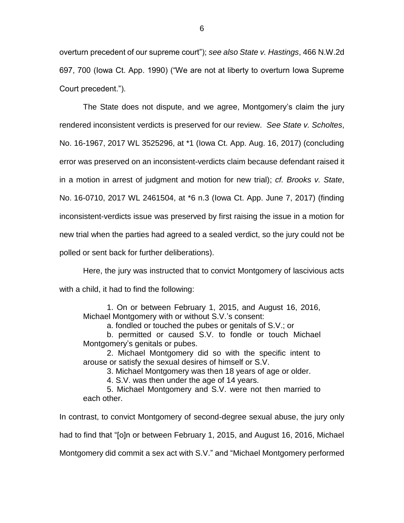overturn precedent of our supreme court"); *see also State v. Hastings*, 466 N.W.2d 697, 700 (Iowa Ct. App. 1990) ("We are not at liberty to overturn Iowa Supreme Court precedent.").

The State does not dispute, and we agree, Montgomery's claim the jury rendered inconsistent verdicts is preserved for our review. *See State v. Scholtes*, No. 16-1967, 2017 WL 3525296, at \*1 (Iowa Ct. App. Aug. 16, 2017) (concluding error was preserved on an inconsistent-verdicts claim because defendant raised it in a motion in arrest of judgment and motion for new trial); *cf. Brooks v. State*, No. 16-0710, 2017 WL 2461504, at \*6 n.3 (Iowa Ct. App. June 7, 2017) (finding inconsistent-verdicts issue was preserved by first raising the issue in a motion for new trial when the parties had agreed to a sealed verdict, so the jury could not be polled or sent back for further deliberations).

Here, the jury was instructed that to convict Montgomery of lascivious acts with a child, it had to find the following:

1. On or between February 1, 2015, and August 16, 2016, Michael Montgomery with or without S.V.'s consent:

a. fondled or touched the pubes or genitals of S.V.; or

b. permitted or caused S.V. to fondle or touch Michael Montgomery's genitals or pubes.

2. Michael Montgomery did so with the specific intent to arouse or satisfy the sexual desires of himself or S.V.

3. Michael Montgomery was then 18 years of age or older.

4. S.V. was then under the age of 14 years.

5. Michael Montgomery and S.V. were not then married to each other.

In contrast, to convict Montgomery of second-degree sexual abuse, the jury only had to find that "[o]n or between February 1, 2015, and August 16, 2016, Michael Montgomery did commit a sex act with S.V." and "Michael Montgomery performed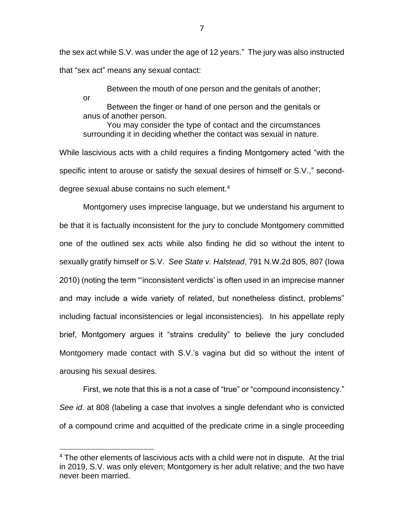the sex act while S.V. was under the age of 12 years." The jury was also instructed that "sex act" means any sexual contact:

Between the mouth of one person and the genitals of another; or Between the finger or hand of one person and the genitals or

anus of another person. You may consider the type of contact and the circumstances surrounding it in deciding whether the contact was sexual in nature.

While lascivious acts with a child requires a finding Montgomery acted "with the specific intent to arouse or satisfy the sexual desires of himself or S.V.," seconddegree sexual abuse contains no such element. $4$ 

Montgomery uses imprecise language, but we understand his argument to be that it is factually inconsistent for the jury to conclude Montgomery committed one of the outlined sex acts while also finding he did so without the intent to sexually gratify himself or S.V. *See State v. Halstead*, 791 N.W.2d 805, 807 (Iowa 2010) (noting the term "'inconsistent verdicts' is often used in an imprecise manner and may include a wide variety of related, but nonetheless distinct, problems" including factual inconsistencies or legal inconsistencies). In his appellate reply brief, Montgomery argues it "strains credulity" to believe the jury concluded Montgomery made contact with S.V.'s vagina but did so without the intent of arousing his sexual desires.

First, we note that this is a not a case of "true" or "compound inconsistency." *See id*. at 808 (labeling a case that involves a single defendant who is convicted of a compound crime and acquitted of the predicate crime in a single proceeding

 $4$  The other elements of lascivious acts with a child were not in dispute. At the trial in 2019, S.V. was only eleven; Montgomery is her adult relative; and the two have never been married.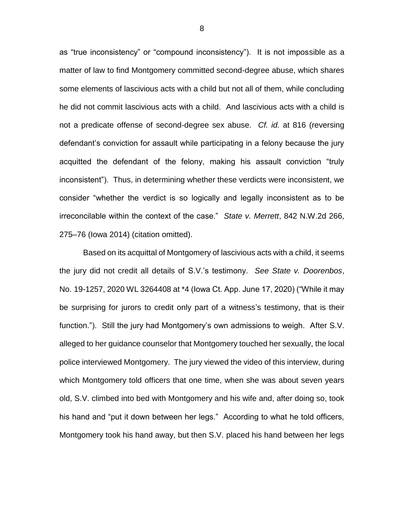as "true inconsistency" or "compound inconsistency"). It is not impossible as a matter of law to find Montgomery committed second-degree abuse, which shares some elements of lascivious acts with a child but not all of them, while concluding he did not commit lascivious acts with a child. And lascivious acts with a child is not a predicate offense of second-degree sex abuse. *Cf. id.* at 816 (reversing defendant's conviction for assault while participating in a felony because the jury acquitted the defendant of the felony, making his assault conviction "truly inconsistent"). Thus, in determining whether these verdicts were inconsistent, we consider "whether the verdict is so logically and legally inconsistent as to be irreconcilable within the context of the case." *State v. Merrett*, 842 N.W.2d 266, 275–76 (Iowa 2014) (citation omitted).

Based on its acquittal of Montgomery of lascivious acts with a child, it seems the jury did not credit all details of S.V.'s testimony. *See State v. Doorenbos*, No. 19-1257, 2020 WL 3264408 at \*4 (Iowa Ct. App. June 17, 2020) ("While it may be surprising for jurors to credit only part of a witness's testimony, that is their function."). Still the jury had Montgomery's own admissions to weigh. After S.V. alleged to her guidance counselor that Montgomery touched her sexually, the local police interviewed Montgomery. The jury viewed the video of this interview, during which Montgomery told officers that one time, when she was about seven years old, S.V. climbed into bed with Montgomery and his wife and, after doing so, took his hand and "put it down between her legs." According to what he told officers, Montgomery took his hand away, but then S.V. placed his hand between her legs

8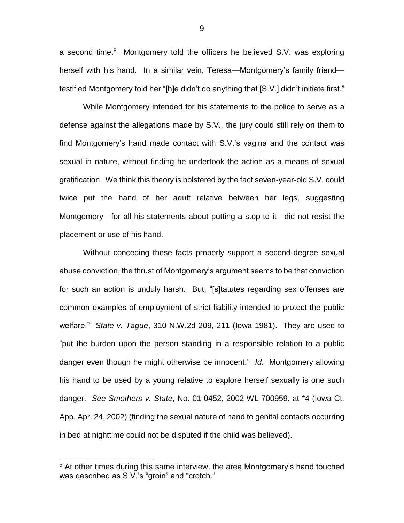a second time.<sup>5</sup> Montgomery told the officers he believed S.V. was exploring herself with his hand. In a similar vein, Teresa—Montgomery's family friend testified Montgomery told her "[h]e didn't do anything that [S.V.] didn't initiate first."

While Montgomery intended for his statements to the police to serve as a defense against the allegations made by S.V., the jury could still rely on them to find Montgomery's hand made contact with S.V.'s vagina and the contact was sexual in nature, without finding he undertook the action as a means of sexual gratification. We think this theory is bolstered by the fact seven-year-old S.V. could twice put the hand of her adult relative between her legs, suggesting Montgomery—for all his statements about putting a stop to it—did not resist the placement or use of his hand.

Without conceding these facts properly support a second-degree sexual abuse conviction, the thrust of Montgomery's argument seems to be that conviction for such an action is unduly harsh. But, "[s]tatutes regarding sex offenses are common examples of employment of strict liability intended to protect the public welfare." *State v. Tague*, 310 N.W.2d 209, 211 (Iowa 1981). They are used to "put the burden upon the person standing in a responsible relation to a public danger even though he might otherwise be innocent." *Id.* Montgomery allowing his hand to be used by a young relative to explore herself sexually is one such danger. *See Smothers v. State*, No. 01-0452, 2002 WL 700959, at \*4 (Iowa Ct. App. Apr. 24, 2002) (finding the sexual nature of hand to genital contacts occurring in bed at nighttime could not be disputed if the child was believed).

 $\overline{a}$ 

9

<sup>&</sup>lt;sup>5</sup> At other times during this same interview, the area Montgomery's hand touched was described as S.V.'s "groin" and "crotch."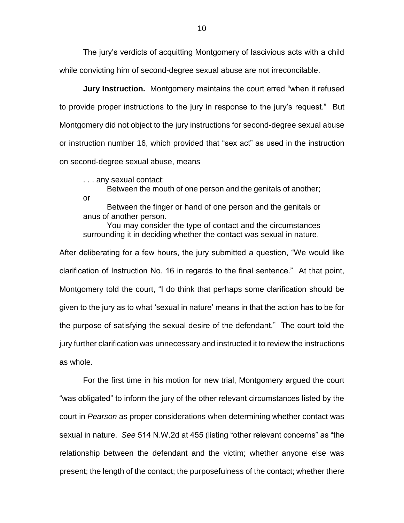The jury's verdicts of acquitting Montgomery of lascivious acts with a child while convicting him of second-degree sexual abuse are not irreconcilable.

**Jury Instruction.** Montgomery maintains the court erred "when it refused to provide proper instructions to the jury in response to the jury's request." But Montgomery did not object to the jury instructions for second-degree sexual abuse or instruction number 16, which provided that "sex act" as used in the instruction on second-degree sexual abuse, means

. . . any sexual contact:

Between the mouth of one person and the genitals of another; or

Between the finger or hand of one person and the genitals or anus of another person.

You may consider the type of contact and the circumstances surrounding it in deciding whether the contact was sexual in nature.

After deliberating for a few hours, the jury submitted a question, "We would like clarification of Instruction No. 16 in regards to the final sentence." At that point, Montgomery told the court, "I do think that perhaps some clarification should be given to the jury as to what 'sexual in nature' means in that the action has to be for the purpose of satisfying the sexual desire of the defendant." The court told the jury further clarification was unnecessary and instructed it to review the instructions as whole.

For the first time in his motion for new trial, Montgomery argued the court "was obligated" to inform the jury of the other relevant circumstances listed by the court in *Pearson* as proper considerations when determining whether contact was sexual in nature. *See* 514 N.W.2d at 455 (listing "other relevant concerns" as "the relationship between the defendant and the victim; whether anyone else was present; the length of the contact; the purposefulness of the contact; whether there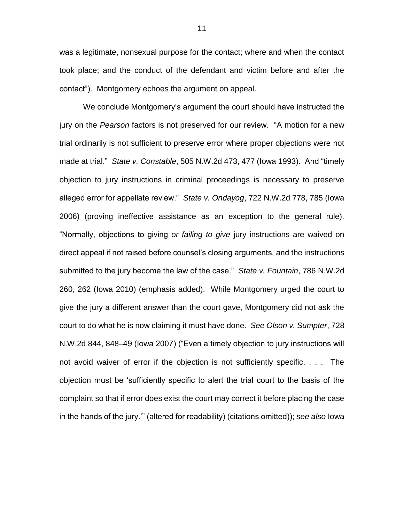was a legitimate, nonsexual purpose for the contact; where and when the contact took place; and the conduct of the defendant and victim before and after the contact"). Montgomery echoes the argument on appeal.

We conclude Montgomery's argument the court should have instructed the jury on the *Pearson* factors is not preserved for our review. "A motion for a new trial ordinarily is not sufficient to preserve error where proper objections were not made at trial." *State v. Constable*, 505 N.W.2d 473, 477 (Iowa 1993). And "timely objection to jury instructions in criminal proceedings is necessary to preserve alleged error for appellate review." *State v. Ondayog*, 722 N.W.2d 778, 785 (Iowa 2006) (proving ineffective assistance as an exception to the general rule). "Normally, objections to giving *or failing to give* jury instructions are waived on direct appeal if not raised before counsel's closing arguments, and the instructions submitted to the jury become the law of the case." *State v. Fountain*, 786 N.W.2d 260, 262 (Iowa 2010) (emphasis added). While Montgomery urged the court to give the jury a different answer than the court gave, Montgomery did not ask the court to do what he is now claiming it must have done. *See Olson v. Sumpter*, 728 N.W.2d 844, 848–49 (Iowa 2007) ("Even a timely objection to jury instructions will not avoid waiver of error if the objection is not sufficiently specific. . . . The objection must be 'sufficiently specific to alert the trial court to the basis of the complaint so that if error does exist the court may correct it before placing the case in the hands of the jury.'" (altered for readability) (citations omitted)); *see also* Iowa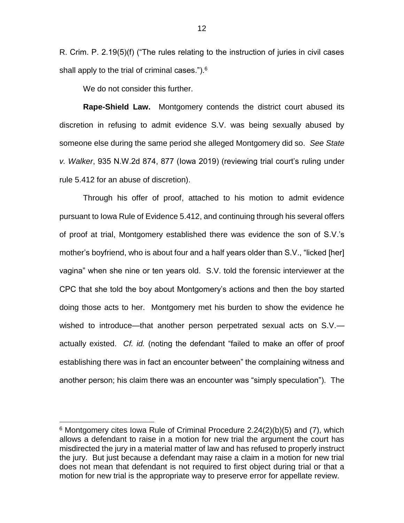R. Crim. P. 2.19(5)(f) ("The rules relating to the instruction of juries in civil cases shall apply to the trial of criminal cases.").<sup>6</sup>

We do not consider this further.

 $\overline{a}$ 

**Rape-Shield Law.** Montgomery contends the district court abused its discretion in refusing to admit evidence S.V. was being sexually abused by someone else during the same period she alleged Montgomery did so. *See State v. Walker*, 935 N.W.2d 874, 877 (Iowa 2019) (reviewing trial court's ruling under rule 5.412 for an abuse of discretion).

Through his offer of proof, attached to his motion to admit evidence pursuant to Iowa Rule of Evidence 5.412, and continuing through his several offers of proof at trial, Montgomery established there was evidence the son of S.V.'s mother's boyfriend, who is about four and a half years older than S.V., "licked [her] vagina" when she nine or ten years old. S.V. told the forensic interviewer at the CPC that she told the boy about Montgomery's actions and then the boy started doing those acts to her. Montgomery met his burden to show the evidence he wished to introduce—that another person perpetrated sexual acts on S.V. actually existed. *Cf. id.* (noting the defendant "failed to make an offer of proof establishing there was in fact an encounter between" the complaining witness and another person; his claim there was an encounter was "simply speculation"). The

 $6$  Montgomery cites Iowa Rule of Criminal Procedure 2.24(2)(b)(5) and (7), which allows a defendant to raise in a motion for new trial the argument the court has misdirected the jury in a material matter of law and has refused to properly instruct the jury. But just because a defendant may raise a claim in a motion for new trial does not mean that defendant is not required to first object during trial or that a motion for new trial is the appropriate way to preserve error for appellate review.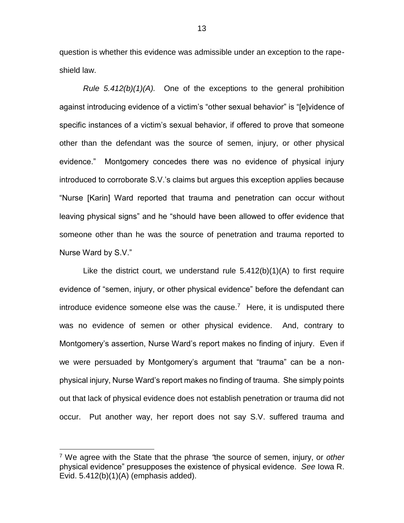question is whether this evidence was admissible under an exception to the rapeshield law.

*Rule 5.412(b)(1)(A).* One of the exceptions to the general prohibition against introducing evidence of a victim's "other sexual behavior" is "[e]vidence of specific instances of a victim's sexual behavior, if offered to prove that someone other than the defendant was the source of semen, injury, or other physical evidence." Montgomery concedes there was no evidence of physical injury introduced to corroborate S.V.'s claims but argues this exception applies because "Nurse [Karin] Ward reported that trauma and penetration can occur without leaving physical signs" and he "should have been allowed to offer evidence that someone other than he was the source of penetration and trauma reported to Nurse Ward by S.V."

Like the district court, we understand rule  $5.412(b)(1)(A)$  to first require evidence of "semen, injury, or other physical evidence" before the defendant can introduce evidence someone else was the cause.<sup>7</sup> Here, it is undisputed there was no evidence of semen or other physical evidence. And, contrary to Montgomery's assertion, Nurse Ward's report makes no finding of injury. Even if we were persuaded by Montgomery's argument that "trauma" can be a nonphysical injury, Nurse Ward's report makes no finding of trauma. She simply points out that lack of physical evidence does not establish penetration or trauma did not occur. Put another way, her report does not say S.V. suffered trauma and

<sup>7</sup> We agree with the State that the phrase *"*the source of semen, injury, or *other*  physical evidence" presupposes the existence of physical evidence. *See* Iowa R. Evid. 5.412(b)(1)(A) (emphasis added).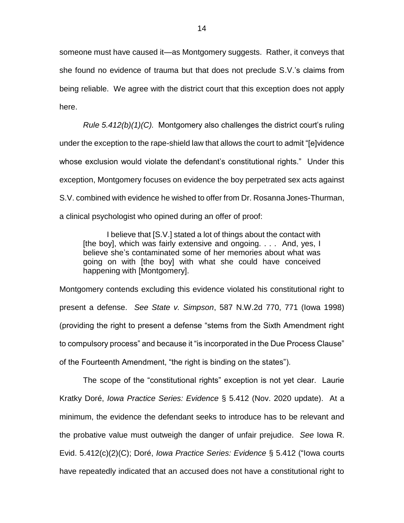someone must have caused it—as Montgomery suggests. Rather, it conveys that she found no evidence of trauma but that does not preclude S.V.'s claims from being reliable. We agree with the district court that this exception does not apply here.

*Rule 5.412(b)(1)(C).* Montgomery also challenges the district court's ruling under the exception to the rape-shield law that allows the court to admit "[e]vidence whose exclusion would violate the defendant's constitutional rights." Under this exception, Montgomery focuses on evidence the boy perpetrated sex acts against S.V. combined with evidence he wished to offer from Dr. Rosanna Jones-Thurman, a clinical psychologist who opined during an offer of proof:

I believe that [S.V.] stated a lot of things about the contact with [the boy], which was fairly extensive and ongoing. . . . And, yes, I believe she's contaminated some of her memories about what was going on with [the boy] with what she could have conceived happening with [Montgomery].

Montgomery contends excluding this evidence violated his constitutional right to present a defense. *See State v. Simpson*, 587 N.W.2d 770, 771 (Iowa 1998) (providing the right to present a defense "stems from the Sixth Amendment right to compulsory process" and because it "is incorporated in the Due Process Clause" of the Fourteenth Amendment, "the right is binding on the states").

The scope of the "constitutional rights" exception is not yet clear. Laurie Kratky Doré, *Iowa Practice Series: Evidence* § 5.412 (Nov. 2020 update). At a minimum, the evidence the defendant seeks to introduce has to be relevant and the probative value must outweigh the danger of unfair prejudice. *See* Iowa R. Evid. 5.412(c)(2)(C); Doré, *Iowa Practice Series: Evidence* § 5.412 ("Iowa courts have repeatedly indicated that an accused does not have a constitutional right to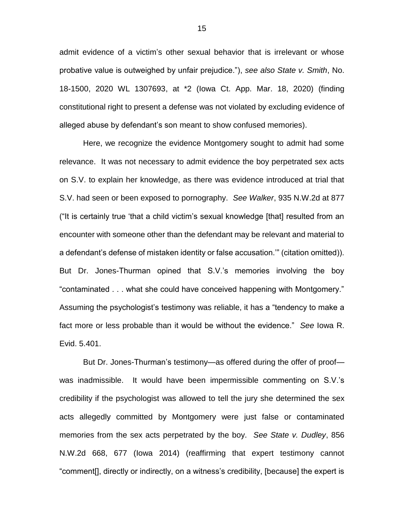admit evidence of a victim's other sexual behavior that is irrelevant or whose probative value is outweighed by unfair prejudice."), *see also State v. Smith*, No. 18-1500, 2020 WL 1307693, at \*2 (Iowa Ct. App. Mar. 18, 2020) (finding constitutional right to present a defense was not violated by excluding evidence of alleged abuse by defendant's son meant to show confused memories).

Here, we recognize the evidence Montgomery sought to admit had some relevance. It was not necessary to admit evidence the boy perpetrated sex acts on S.V. to explain her knowledge, as there was evidence introduced at trial that S.V. had seen or been exposed to pornography. *See Walker*, 935 N.W.2d at 877 ("It is certainly true 'that a child victim's sexual knowledge [that] resulted from an encounter with someone other than the defendant may be relevant and material to a defendant's defense of mistaken identity or false accusation.'" (citation omitted)). But Dr. Jones-Thurman opined that S.V.'s memories involving the boy "contaminated . . . what she could have conceived happening with Montgomery." Assuming the psychologist's testimony was reliable, it has a "tendency to make a fact more or less probable than it would be without the evidence." *See* Iowa R. Evid. 5.401.

But Dr. Jones-Thurman's testimony—as offered during the offer of proof was inadmissible. It would have been impermissible commenting on S.V.'s credibility if the psychologist was allowed to tell the jury she determined the sex acts allegedly committed by Montgomery were just false or contaminated memories from the sex acts perpetrated by the boy. *See State v. Dudley*, 856 N.W.2d 668, 677 (Iowa 2014) (reaffirming that expert testimony cannot "comment[], directly or indirectly, on a witness's credibility, [because] the expert is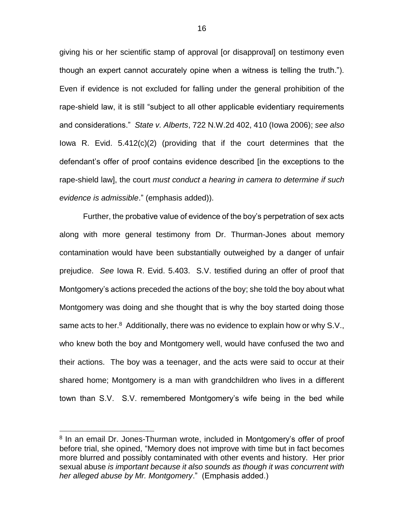giving his or her scientific stamp of approval [or disapproval] on testimony even though an expert cannot accurately opine when a witness is telling the truth."). Even if evidence is not excluded for falling under the general prohibition of the rape-shield law, it is still "subject to all other applicable evidentiary requirements and considerations." *State v. Alberts*, 722 N.W.2d 402, 410 (Iowa 2006); *see also*  Iowa R. Evid. 5.412(c)(2) (providing that if the court determines that the defendant's offer of proof contains evidence described [in the exceptions to the rape-shield law], the court *must conduct a hearing in camera to determine if such evidence is admissible*." (emphasis added)).

Further, the probative value of evidence of the boy's perpetration of sex acts along with more general testimony from Dr. Thurman-Jones about memory contamination would have been substantially outweighed by a danger of unfair prejudice. *See* Iowa R. Evid. 5.403. S.V. testified during an offer of proof that Montgomery's actions preceded the actions of the boy; she told the boy about what Montgomery was doing and she thought that is why the boy started doing those same acts to her.<sup>8</sup> Additionally, there was no evidence to explain how or why S.V., who knew both the boy and Montgomery well, would have confused the two and their actions. The boy was a teenager, and the acts were said to occur at their shared home; Montgomery is a man with grandchildren who lives in a different town than S.V. S.V. remembered Montgomery's wife being in the bed while

<sup>&</sup>lt;sup>8</sup> In an email Dr. Jones-Thurman wrote, included in Montgomery's offer of proof before trial, she opined, "Memory does not improve with time but in fact becomes more blurred and possibly contaminated with other events and history. Her prior sexual abuse *is important because it also sounds as though it was concurrent with her alleged abuse by Mr. Montgomery*." (Emphasis added.)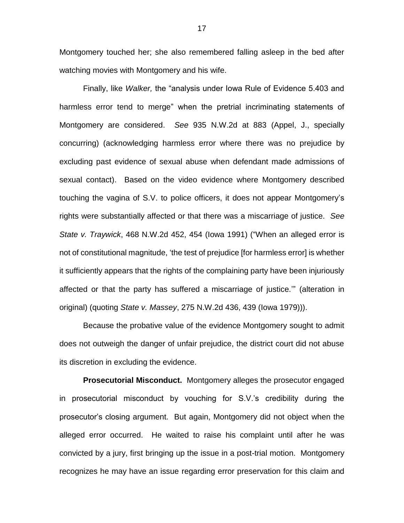Montgomery touched her; she also remembered falling asleep in the bed after watching movies with Montgomery and his wife.

Finally, like *Walker,* the "analysis under Iowa Rule of Evidence 5.403 and harmless error tend to merge" when the pretrial incriminating statements of Montgomery are considered. *See* 935 N.W.2d at 883 (Appel, J., specially concurring) (acknowledging harmless error where there was no prejudice by excluding past evidence of sexual abuse when defendant made admissions of sexual contact). Based on the video evidence where Montgomery described touching the vagina of S.V. to police officers, it does not appear Montgomery's rights were substantially affected or that there was a miscarriage of justice. *See State v. Traywick*, 468 N.W.2d 452, 454 (Iowa 1991) ("When an alleged error is not of constitutional magnitude, 'the test of prejudice [for harmless error] is whether it sufficiently appears that the rights of the complaining party have been injuriously affected or that the party has suffered a miscarriage of justice.'" (alteration in original) (quoting *State v. Massey*, 275 N.W.2d 436, 439 (Iowa 1979))).

Because the probative value of the evidence Montgomery sought to admit does not outweigh the danger of unfair prejudice, the district court did not abuse its discretion in excluding the evidence.

**Prosecutorial Misconduct.** Montgomery alleges the prosecutor engaged in prosecutorial misconduct by vouching for S.V.'s credibility during the prosecutor's closing argument. But again, Montgomery did not object when the alleged error occurred. He waited to raise his complaint until after he was convicted by a jury, first bringing up the issue in a post-trial motion. Montgomery recognizes he may have an issue regarding error preservation for this claim and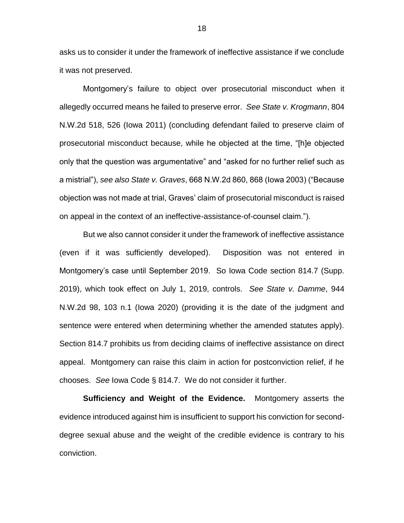asks us to consider it under the framework of ineffective assistance if we conclude it was not preserved.

Montgomery's failure to object over prosecutorial misconduct when it allegedly occurred means he failed to preserve error. *See State v. Krogmann*, 804 N.W.2d 518, 526 (Iowa 2011) (concluding defendant failed to preserve claim of prosecutorial misconduct because, while he objected at the time, "[h]e objected only that the question was argumentative" and "asked for no further relief such as a mistrial"), *see also State v. Graves*, 668 N.W.2d 860, 868 (Iowa 2003) ("Because objection was not made at trial, Graves' claim of prosecutorial misconduct is raised on appeal in the context of an ineffective-assistance-of-counsel claim.").

But we also cannot consider it under the framework of ineffective assistance (even if it was sufficiently developed). Disposition was not entered in Montgomery's case until September 2019. So Iowa Code section 814.7 (Supp. 2019), which took effect on July 1, 2019, controls. *See State v. Damme*, 944 N.W.2d 98, 103 n.1 (Iowa 2020) (providing it is the date of the judgment and sentence were entered when determining whether the amended statutes apply). Section 814.7 prohibits us from deciding claims of ineffective assistance on direct appeal. Montgomery can raise this claim in action for postconviction relief, if he chooses. *See* Iowa Code § 814.7. We do not consider it further.

**Sufficiency and Weight of the Evidence.** Montgomery asserts the evidence introduced against him is insufficient to support his conviction for seconddegree sexual abuse and the weight of the credible evidence is contrary to his conviction.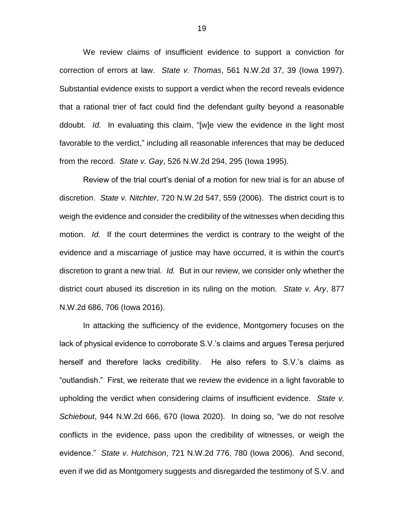We review claims of insufficient evidence to support a conviction for correction of errors at law. *State v. Thomas*, 561 N.W.2d 37, 39 (Iowa 1997). Substantial evidence exists to support a verdict when the record reveals evidence that a rational trier of fact could find the defendant guilty beyond a reasonable ddoubt. *Id.* In evaluating this claim, "[w]e view the evidence in the light most favorable to the verdict," including all reasonable inferences that may be deduced from the record. *State v. Gay*, 526 N.W.2d 294, 295 (Iowa 1995).

Review of the trial court's denial of a motion for new trial is for an abuse of discretion. *State v. Nitchter*, 720 N.W.2d 547, 559 (2006). The district court is to weigh the evidence and consider the credibility of the witnesses when deciding this motion. *Id.* If the court determines the verdict is contrary to the weight of the evidence and a miscarriage of justice may have occurred, it is within the court's discretion to grant a new trial. *Id.* But in our review, we consider only whether the district court abused its discretion in its ruling on the motion. *State v. Ary*, 877 N.W.2d 686, 706 (Iowa 2016).

In attacking the sufficiency of the evidence, Montgomery focuses on the lack of physical evidence to corroborate S.V.'s claims and argues Teresa perjured herself and therefore lacks credibility. He also refers to S.V.'s claims as "outlandish." First, we reiterate that we review the evidence in a light favorable to upholding the verdict when considering claims of insufficient evidence. *State v. Schiebout*, 944 N.W.2d 666, 670 (Iowa 2020). In doing so, "we do not resolve conflicts in the evidence, pass upon the credibility of witnesses, or weigh the evidence." *State v. Hutchison*, 721 N.W.2d 776, 780 (Iowa 2006). And second, even if we did as Montgomery suggests and disregarded the testimony of S.V. and